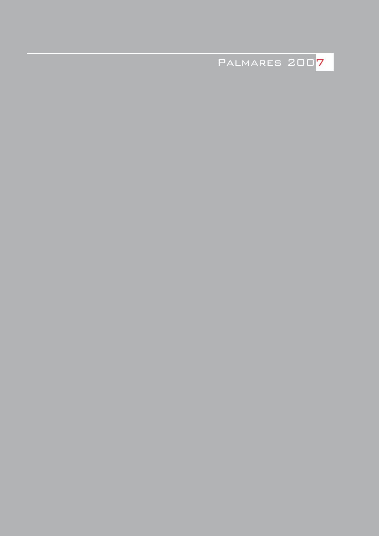Palmares 2007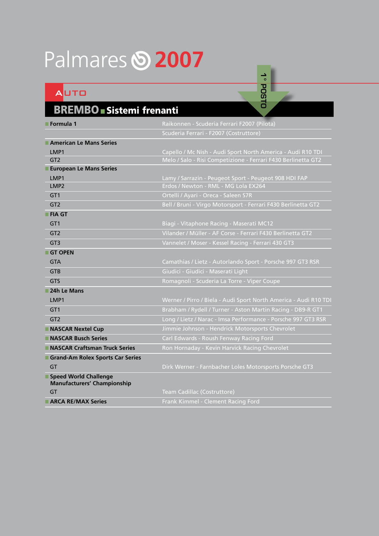## Palmares **2007**

### Auto

#### BREMBO ■ Sistemi frenanti

| ■ Formula 1                                                 | Raikonnen - Scuderia Ferrari F2007 (Pilota)                      |
|-------------------------------------------------------------|------------------------------------------------------------------|
|                                                             | Scuderia Ferrari - F2007 (Costruttore)                           |
| American Le Mans Series                                     |                                                                  |
| LMP1                                                        | Capello / Mc Nish - Audi Sport North America - Audi R10 TDI      |
| GT2                                                         | Melo / Salo - Risi Competizione - Ferrari F430 Berlinetta GT2    |
| <b>European Le Mans Series</b>                              |                                                                  |
| LMP1                                                        | Lamy / Sarrazin - Peugeot Sport - Peugeot 908 HDI FAP            |
| LMP <sub>2</sub>                                            | Erdos / Newton - RML - MG Lola EX264                             |
| GT <sub>1</sub>                                             | Ortelli / Ayari - Oreca - Saleen S7R                             |
| GT <sub>2</sub>                                             | Bell / Bruni - Virgo Motorsport - Ferrari F430 Berlinetta GT2    |
| <b>FIA GT</b>                                               |                                                                  |
| GT <sub>1</sub>                                             | Biagi - Vitaphone Racing - Maserati MC12                         |
| GT <sub>2</sub>                                             | Vilander / Müller - AF Corse - Ferrari F430 Berlinetta GT2       |
| GT3                                                         | Vannelet / Moser - Kessel Racing - Ferrari 430 GT3               |
| GT OPEN                                                     |                                                                  |
| <b>GTA</b>                                                  | Camathias / Lietz - Autorlando Sport - Porsche 997 GT3 RSR       |
| <b>GTB</b>                                                  | Giudici - Giudici - Maserati Light                               |
| <b>GTS</b>                                                  | Romagnoli - Scuderia La Torre - Viper Coupe                      |
| 24h Le Mans                                                 |                                                                  |
| LMP1                                                        | Werner / Pirro / Biela - Audi Sport North America - Audi R10 TDI |
| GT <sub>1</sub>                                             | Brabham / Rydell / Turner - Aston Martin Racing - DB9-R GT1      |
| GT <sub>2</sub>                                             | Long / Lietz / Narac - Imsa Performance - Porsche 997 GT3 RSR    |
| NASCAR Nextel Cup                                           | Jimmie Johnson - Hendrick Motorsports Chevrolet                  |
| NASCAR Busch Series                                         | Carl Edwards - Roush Fenway Racing Ford                          |
| NASCAR Craftsman Truck Series                               | Ron Hornaday - Kevin Harvick Racing Chevrolet                    |
| Grand-Am Rolex Sports Car Series                            |                                                                  |
| GT                                                          | Dirk Werner - Farnbacher Loles Motorsports Porsche GT3           |
| Speed World Challenge<br><b>Manufacturers' Championship</b> |                                                                  |
| GT                                                          | Team Cadillac (Costruttore)                                      |
| <b>ARCA RE/MAX Series</b>                                   | Frank Kimmel - Clement Racing Ford                               |

**1° posto**

1° POSTO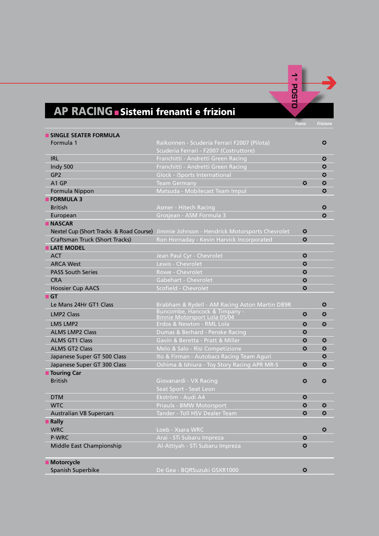# 1° POSTO **1° posto**

#### *Freno Frizione*

| <b>SINGLE SEATER FORMULA</b>   |                                                                                         |                       |                       |
|--------------------------------|-----------------------------------------------------------------------------------------|-----------------------|-----------------------|
| Formula 1                      | Raikonnen - Scuderia Ferrari F2007 (Pilota)                                             |                       | $\bm{\Omega}$         |
|                                | Scuderia Ferrari - F2007 (Costruttore)                                                  |                       |                       |
| <b>IRL</b>                     | Franchitti - Andretti Green Racing                                                      |                       | 0                     |
| Indy 500                       | Franchitti - Andretti Green Racing                                                      |                       | $\boldsymbol{\omega}$ |
| GP <sub>2</sub>                | <b>Glock - iSports International</b>                                                    |                       | 0                     |
| A <sub>1</sub> GP              | <b>Team Germany</b>                                                                     | $\bm{\Omega}$         | $\bm{\Omega}$         |
| Formula Nippon                 | Matsuda - Mobilecast Team Impul                                                         |                       | $\boldsymbol{\Omega}$ |
| <b>FORMULA 3</b>               |                                                                                         |                       |                       |
| <b>British</b>                 | <b>Asmer - Hitech Racing</b>                                                            |                       | ≎                     |
| European                       | Grosjean - ASM Formula 3                                                                |                       | $\boldsymbol{\Omega}$ |
| <b>NASCAR</b>                  |                                                                                         |                       |                       |
|                                | Nextel Cup (Short Tracks & Road Course) Jimmie Johnson - Hendrick Motorsports Chevrolet | ≎                     |                       |
| Craftsman Truck (Short Tracks) | Ron Hornaday - Kevin Harvick Incorporated                                               | $\boldsymbol{\Omega}$ |                       |
| <b>LATE MODEL</b>              |                                                                                         |                       |                       |
| <b>ACT</b>                     | Jean Paul Cyr - Chevrolet                                                               | $\bm{\Omega}$         |                       |
| <b>ARCA West</b>               | Lewis - Chevrolet                                                                       | $\boldsymbol{\omega}$ |                       |
| <b>PASS South Series</b>       | Rowe - Chevrolet                                                                        | $\boldsymbol{\omega}$ |                       |
| <b>CRA</b>                     | Gabehart - Chevrolet                                                                    | $\boldsymbol{\Omega}$ |                       |
| <b>Hoosier Cup AACS</b>        | Scofield - Chevrolet                                                                    | $\boldsymbol{\Omega}$ |                       |
| $\blacksquare$ GT              |                                                                                         |                       |                       |
| Le Mans 24Hr GT1 Class         | Brabham & Rydell - AM Racing Aston Martin DB9R                                          |                       | ↔                     |
| <b>LMP2 Class</b>              | Buncombe, Hancock & Timpany -<br>Binnie Motorsport Lola 05/04                           | $\boldsymbol{\omega}$ | 0                     |
| <b>LMS LMP2</b>                | Erdos & Newton - RML Lola                                                               | 0                     | $\boldsymbol{\omega}$ |
| <b>ALMS LMP2 Class</b>         | Dumas & Berhard - Penske Racing                                                         | $\boldsymbol{\Omega}$ |                       |
| <b>ALMS GT1 Class</b>          | Gavin & Beretta - Pratt & Miller                                                        | $\boldsymbol{\omega}$ | ≎                     |
| <b>ALMS GT2 Class</b>          | Melo & Salo - Risi Competizione                                                         | $\boldsymbol{\Omega}$ | $\bm{\Omega}$         |
| Japanese Super GT 500 Class    | Ito & Firman - Autobacs Racing Team Aguri                                               |                       | $\boldsymbol{\omega}$ |
| Japanese Super GT 300 Class    | Oshima & Ishiura - Toy Story Racing APR MR-S                                            | $\boldsymbol{\omega}$ | $\boldsymbol{\Omega}$ |
| <b>Touring Car</b>             |                                                                                         |                       |                       |
| <b>British</b>                 | Giovanardi - VX Racing                                                                  | ≎                     | 0                     |
|                                | Seat Sport - Seat Leon                                                                  |                       |                       |
| <b>DTM</b>                     | Ekström - Audi A4                                                                       | $\bm{\Omega}$         |                       |
| <b>WTC</b>                     | <b>Priaulx - BMW Motorsport</b>                                                         | 0                     | ⊙                     |
| <b>Australian V8 Supercars</b> | Tander - Toll HSV Dealer Team                                                           | $\boldsymbol{\Omega}$ | $\boldsymbol{\omega}$ |
| <b>Rally</b>                   |                                                                                         |                       |                       |
| <b>WRC</b>                     | Loeb - Xsara WRC                                                                        |                       | $\boldsymbol{\Omega}$ |
| P-WRC                          | Arai - STi Subaru Impreza                                                               | 0                     |                       |
| Middle East Championship       | Al-Attiyah - STi Subaru Impreza                                                         | $\boldsymbol{\Omega}$ |                       |
|                                |                                                                                         |                       |                       |
| <b>Motorcycle</b>              |                                                                                         |                       |                       |
| Spanish Superbike              | De Gea - BQRSuzuki GSXR1000                                                             | 0                     |                       |

**AP RACING ■ Sistemi frenanti e frizioni**